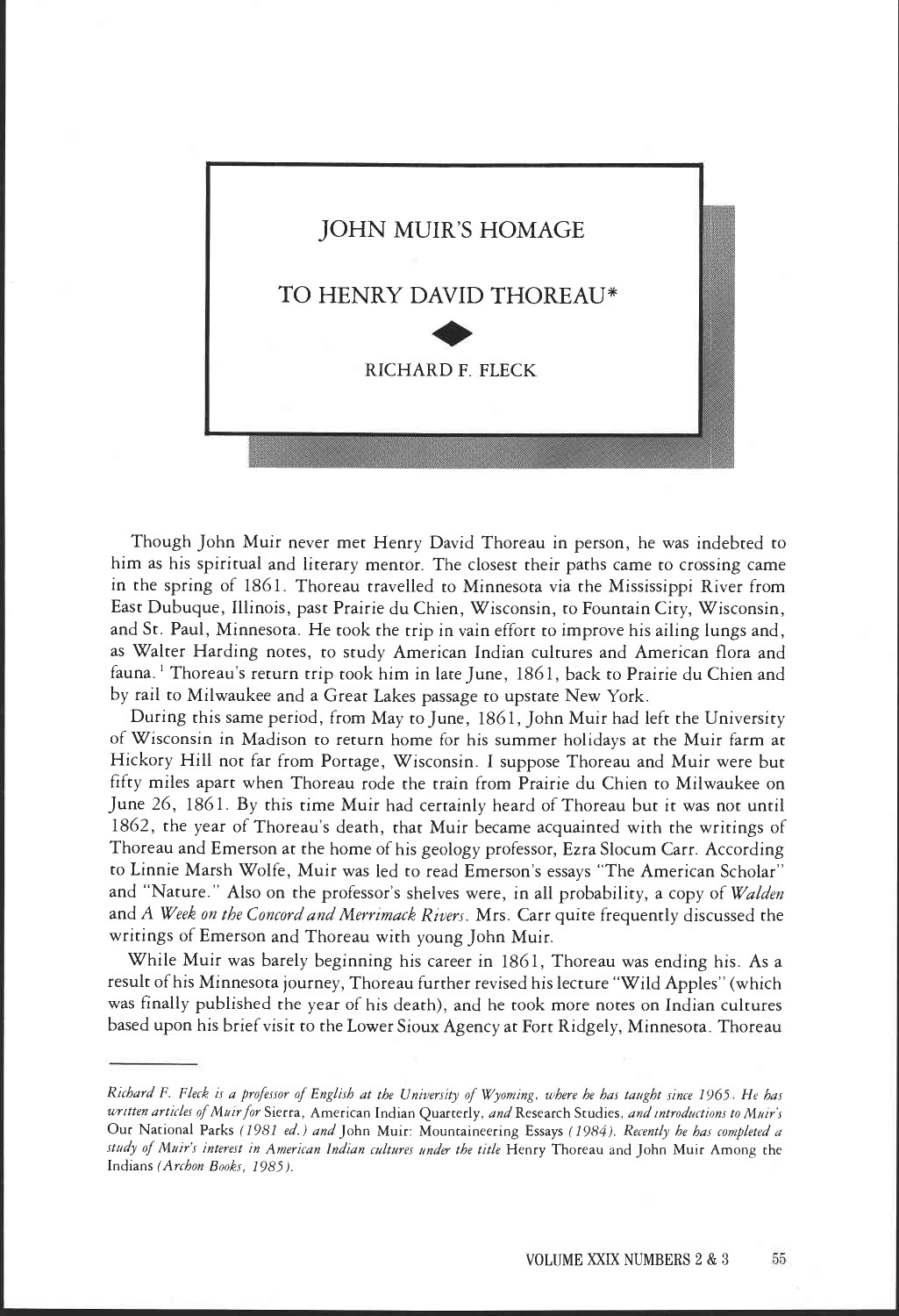

Though John Muir never met Henry David Thoreau in person, he was indebted to him as his spiritual and literary mentor. The closest their paths came to crossing came in the spring of 1861. Thoreau travelled to Minnesota via the Mississippi River from East Dubuque, Illinois, past Prairie du Chien, Wisconsin, to Fountain City, Wisconsin, and St. Paul, Minnesota. He took the trip in vain effort to improve his ailing lungs and, as Walter Harding notes, to study American Indian cultures and American flora and fauna.<sup>1</sup> Thoreau's return trip took him in late June, 1861, back to Prairie du Chien and by rail to Milwaukee and a Great Lakes passage to upstate New York.

During this same period, from May to June, 1861, John Muir had left the University of Wisconsin in Madison to return home for his summer holidays at the Muir farm at Hickory Hill not far from Portage, Wisconsin. I suppose Thoreau and Muir were but fifty miles apart when Thoreau rode the train from Prairie du Chien to Milwaukee on June 26, 1861. By this time Muir had certainly heard of Thoreau but it was not until 1862, the year of Thoreau's death, that Muir became acquainted with the writings of Thoreau and Emerson at the home of his geology professor, Ezra Slocum Carr. According to Linnie Marsh Wolfe, Muir was led to read Emerson's essays "The American Scholar" and "Nature." Also on the professor's shelves were, in all probability, a copy of Walden and A Week on the Concord and Merrimack Rivers. Mrs. Carr quite frequently discussed the writings of Emerson and Thoreau with young John Muir.

While Muir was barely beginning his career in 1861, Thoreau was ending his. As a result of his Minnesota journey, Thoreau further revised his lecture "Wild Apples" (which was finally published the year of his death), and he took more notes on Indian cultures based upon his brief visit to the Lower Sioux Agency at Fort Ridgely, Minnesota. Thoreau

Richard F. Fleck is a professor of English at the University of Wyoming, where he has taught since 1965. He has written articles of Muir for Sierra, American Indian Quarterly, and Research Studies, and introductions to Muir's Our National Parks (1981 ed.) and John Muir: Mountaineering Essays (1984). Recently he has completed a study of Muir's interest in American Indian cultures under the title Henry Thoreau and John Muir Among the Indians (Archon Books, 1985).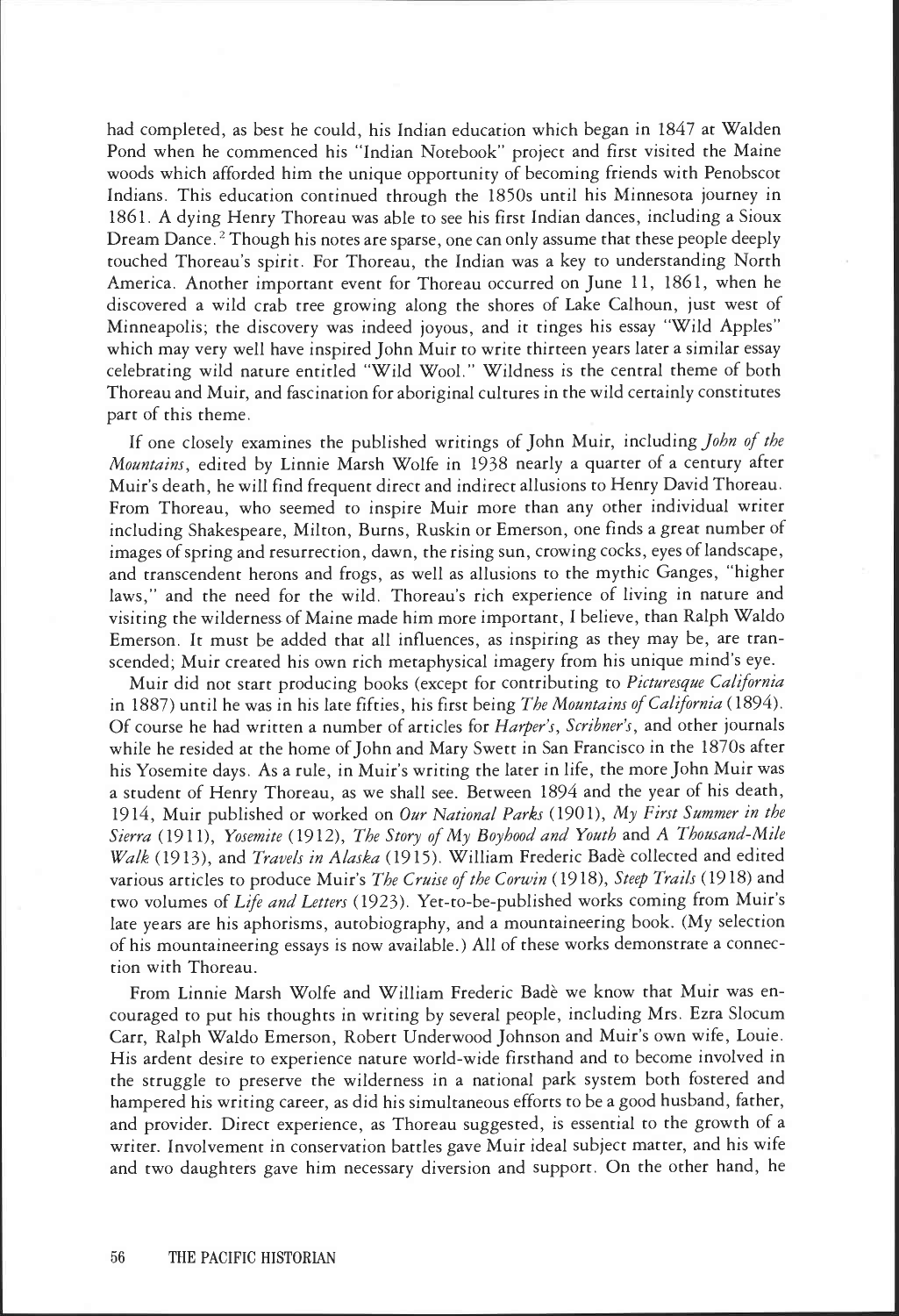had completed, as best he could, his Indian education which began in 1847 at Walden Pond when he commenced his 'Indian Notebook" project and first visited the Maine woods which afforded him the unique opportunity of becoming friends with Penobscot Indians. This education continued through the 1850s until his Minnesota journey in 1861. A dying Henry Thoreau was able to see his first Indian dances, including a Sioux Dream Dance.<sup>2</sup> Though his notes are sparse, one can only assume that these people deeply touched Thoreau's spirit. For Thoreau, the Indian was a key to understanding North America. Another important event for Thoreau occurred on June 11, 1861, when he discovered a wild crab tree growing along the shores of Lake Calhoun, just west of Minneapolis; the discovery was indeed joyous, and it tinges his essay "Wild Apples" which may very well have inspired John Muir to write thirteen years later a similar essay celebrating wild nature entitled "Wild Wool." Wildness is the central theme of both Thoreau and Muir, and fascination for aboriginal cultures in the wild certainly constitutes part of this theme.

If one closely examines the published writings of John Muir, including John of the Mountains, edited by Linnie Marsh Wolfe in 1938 nearly a quarter of a century after Muir's death, he will find frequent direct and indirect allusions to Henry David Thoreau. From Thoreau, who seemed to inspire Muir more than any other individual writer including Shakespeare, Milton, Burns, Ruskin or Emerson, one finds a great number of images of spring and resurrection, dawn, the rising sun, crowing cocks, eyes of landscape, and transcendent herons and frogs, as well as allusions to the mythic Ganges, "higher laws," and the need for the wild. Thoreau's rich experience of living in nature and visiting the wilderness of Maine made him more important, I believe, than Ralph Waldo Emerson. It must be added that all influences, as inspiring as they may be, are transcended; Muir created his own rich metaphysical imagery from his unique mind's eye.

Muir did not start producing books (except for contributing to Picturesque California in 1887) until he was in his late fifties, his first being The Mountains of California (1894). Of course he had written a number of articles for *Harper's*, *Scribner's*, and other journals while he resided at the home of John and Mary Swett in San Francisco in the 1870s after his Yosemite days. As a rule, in Muir's writing the later in life, the more John Muir was a student of Henry Thoreau, as we shall see. Between 1894 and the year of his death, 1914, Muir published or worked on Our National Parks (1901), My First Summer in the Sierra (1911), Yosemite (1912), The Story of My Boyhood and Youth and A Thousand-Mile Walk (1913), and Travels in Alaska (1915). William Frederic Badè collected and edited various articles to produce Muir's The Cruise of the Corwin (1918), Steep Trails (1918) and two volumes of Life and Letters (1923). Yet-to-be-published works coming from Muir's late years are his aphorisms, autobiography, and a mountaineering book. (My selection of his mountaineering essays is now available.) All of these works demonstrate a connection with Thoreau.

From Linnie Marsh Wolfe and William Frederic Badè we know that Muir was encouraged to put his thoughts in writing by several people, including Mrs. Ezra Slocum Carr, Ralph Waldo Emerson, Robert Underwood Johnson and Muir's own wife, Louie. His ardent desire to experience nature world-wide firsthand and to become involved in the struggle to preserve the wilderness in a national park system both fostered and hampered his writing career, as did his simultaneous efforts to be a good husband, father, and provider. Direct experience, as Thoreau suggested, is essential to the growth of a writer. Involvement in conservation battles gave Muir ideal subject matter, and his wife and two daughters gave him necessary diversion and support. On the other hand, he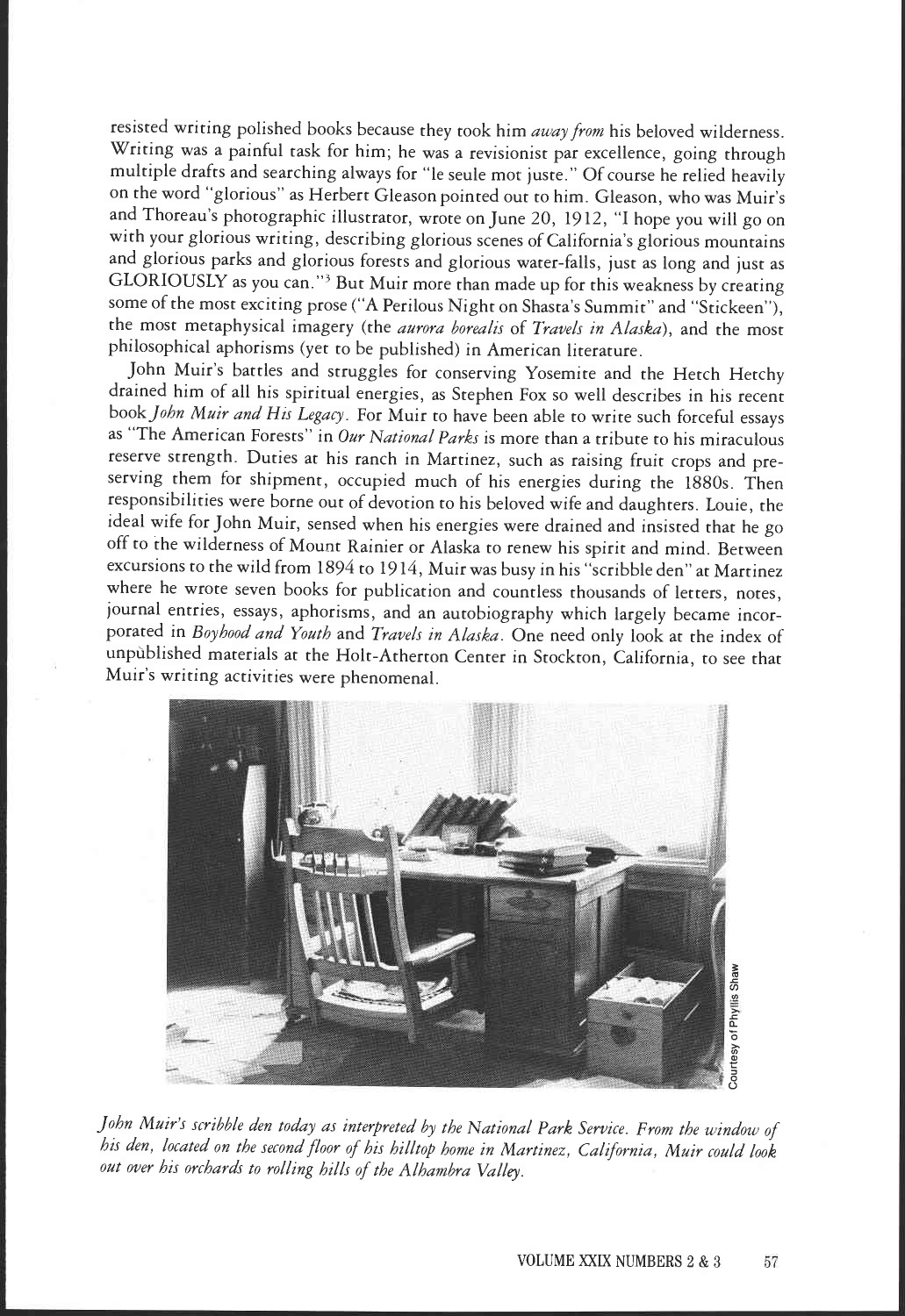resisted writing polished books because they took him away from his beloved wilderness. Writing was a painful task for him; he was a revisionist par excellence, going through multiple drafts and searching always for "le seule mot juste." Of course he relied heavily on the word "glorious" as Herbert Gleason pointed out to him. Gleason, who was Muir's and Thoreau's photographic illustrator, wrote on June 20, 1912, "I hope you will go on with your glorious writing, describing glorious scenes of California's glorious mountains and glorious parks and glorious forests and glorious water-falls, just as long and just as GLORIOUSLY as you can."3 But Muir more than made up for this weakness by creating some of the most exciting prose ("A Perilous Night on Shasta's Summit" and "Stickeen"), the most metaphysical imagery (the aurora borealis of Travels in Alaska), and the most philosophical aphorisms (yet to be published) in American literature.

John Muir's battles and struggles for conserving Yosemite and the Hetch Hetchy drained him of all his spiritual energies, as Stephen Fox so well describes in his recent book John Muir and His Legacy. For Muir to have been able to write such forceful essays as "The American Forests" in Our National Parks is more than a tribute to his miraculous reserve strength. Duties at his ranch in Martinez, such as raising fruit crops and preserving them for shipment, occupied much of his energies during the 1880s. Then responsibilities were borne out of devotion to his beloved wife and daughters. Louie, the ideal wife for John Muir, sensed when his energies were drained and insisted that he go off to the wilderness of Mount Rainier or Alaska to renew his spirit and mind. Between excursions to the wild from 1894 to 1914, Muir was busy in his "scribble den" at Martinez where he wrote seven books for publication and countless thousands of letters, notes, journal entries, essays, aphorisms, and an autobiography which largely became incorporated in Boyhood and Youth and Travels in Alaska. One need only look at the index of unpublished materials at the Holt-Atherton Center in Stockton, California, to see that Muir's writing activities were phenomenal.



John Muir's scribble den today as interpreted by the National Park Service. From the window of his den, located on the second floor of his hilltop home in Martinez, California, Muir could look out over his orchards to rolling hills of the Alhambra Valley.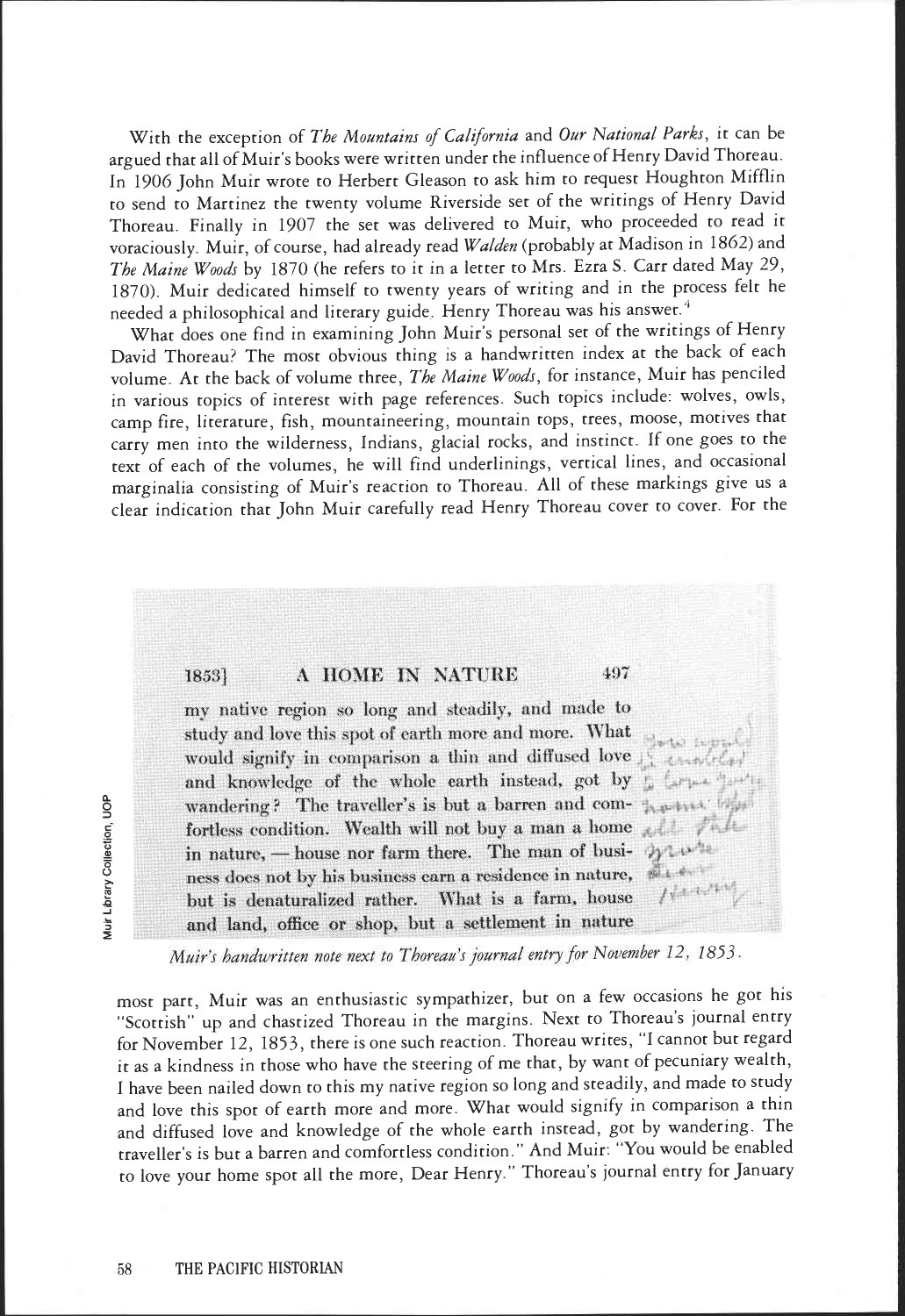With the exception of The Mountains of California and Our National Parks, it can be argued that all of Muir's books were written under the influence of Henry David Thoreau. In 1906 John Muir wrote to Herbert Gleason to ask him to request Houghton Mifflin to send to Martinez the twenty volume Riverside set of the writings of Henry David Thoreau. Finally in 1907 the set was delivered to Muir, who proceeded to read it voraciously. Muir, of course, had already read Walden (probably at Madison in 1862) and The Maine Woods by 1870 (he refers to it in a letter to Mrs. Ezra S. Carr dated May 29, 1870). Muir dedicated himself to twenty years of writing and in the process felt he needed a philosophical and literary guide. Henry Thoreau was his answer.<sup>4</sup>

What does one find in examining John Muir's personal set of the writings of Henry David Thoreau? The most obvious thing is a handwritten index at the back of each volume. At the back of volume three, The Maine Woods, for instance, Muir has penciled in various topics of interest with page references. Such topics include: wolves, owls, camp fire, literature, fish, mountaineering, mountain tops, trees, moose, motives that carry men into the wilderness, Indians, glacial rocks, and instinct. If one goes to the text of each of the volumes, he will find underlinings, vertical lines, and occasional marginalia consisting of Muir's reaction to Thoreau. All of these markings give us a clear indication that John Muir carefully read Henry Thoreau cover to cover. For the

## 1853]

## A HOME IN NATURE 497

my native region so long and steadily, and made to study and love this spot of earth more and more. What would signify in comparison a thin and diffused love and knowledge of the whole earth instead, got by ; [  $+$ wandering? The traveller's is but a barren and com- $\frac{1}{2}$ fortless condition. Wealth will not buy a man a home  $,$ in nature, - house nor farm there. The man of business does not by his business earn a residence in nature, but is denaturalized rather. What is a farm, house and land, office or shop, but a settlement in nature

Muir's handwritten note next to Thoreau's journal entry for November 12, 1853.

most part, Muir was an enthusiastic sympathizer, but on a few occasions he got his "Scottish" up and chastized Thoreau in the margins. Next to Thoreau's journal entry for November 12, 1853, there is one such reaction. Thoreau writes, "I cannot but regard it as a kindness in those who have the steering of me that, by want of pecuniary wealth, I have been nailed down to this my native region so long and steadily, and made to study and love this spot of earth more and more. What would signify in comparison a thin and diffused love and knowledge of the whole earth instead, got by wandering. The traveller's is but a barren and comfortless condition." And Muir: "You would be enabled to love your home spot all the more, Dear Henry." Thoreau's journal entry for January

a-0 communications<br>Communications<br>Communications -<br>-<br>-<br>-<br>-.0 -J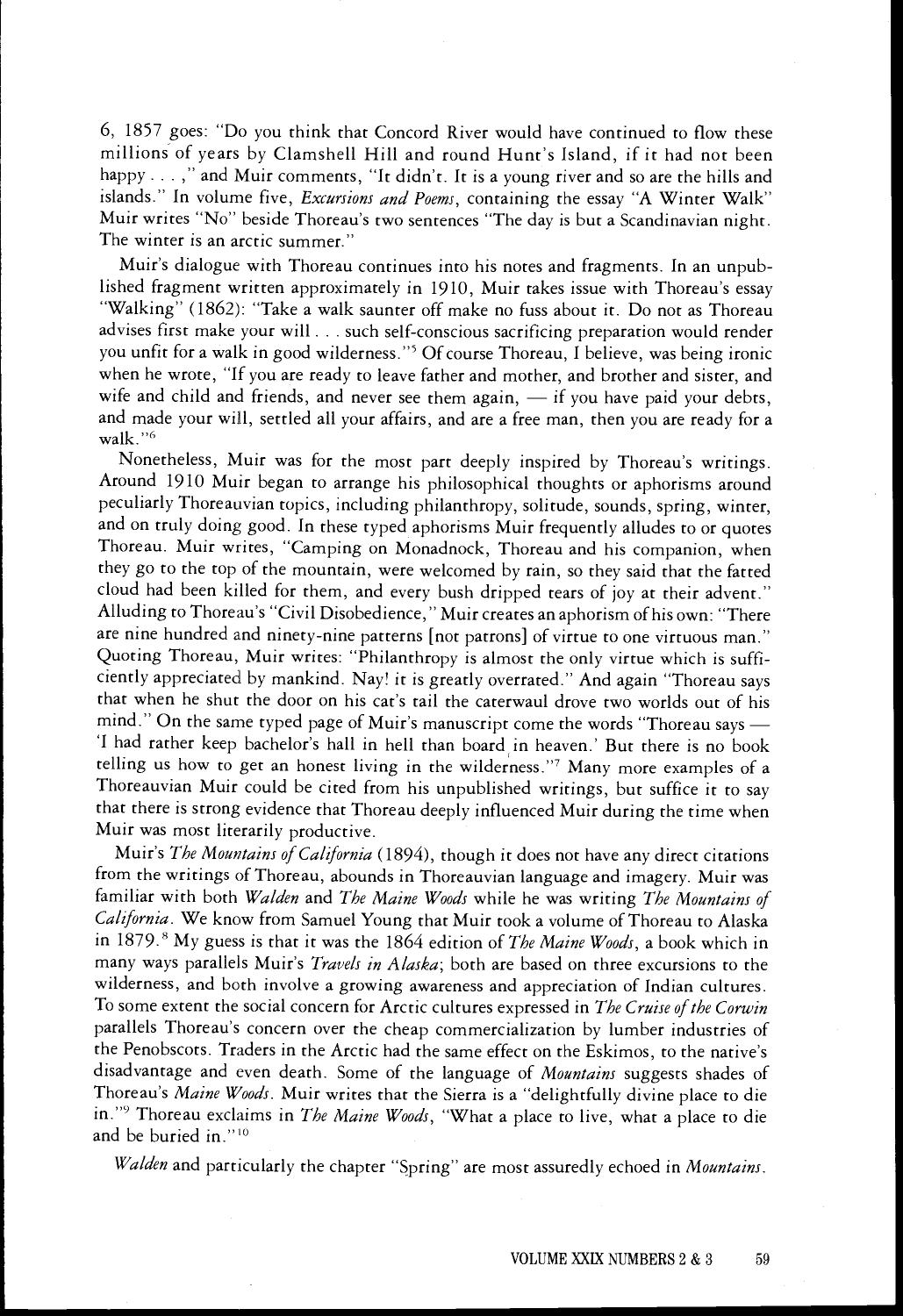6, 1857 goes: "Do you think that Concord River would have continued to flow these millions of years by Clamshell Hill and round Hunt's Island, if it had not been happy...," and Muir comments, "It didn't. It is a young river and so are the hills and islands." In volume five, *Excursions and Poems*, containing the essay "A Winter Walk" Muir writes "No" beside Thoreau's two sentences "The day is but a Scandinavian night. The winter is an arctic summer."

Muir's dialogue with Thoreau continues into his notes and fragments. In an unpublished fragment written approximately in 1910, Muir takes issue with Thoreau's essay "Walking" (1862): "Take a walk saunter off make no fuss about it. Do not as Thoreau advises first make your will . . . such self-conscious sacrificing preparation would render you unfit for a walk in good wilderness."5 Of course Thoreau, I believe, was being ironic when he wrote, "If you are ready to leave father and mother, and brother and sister, and wife and child and friends, and never see them again,  $-$  if you have paid your debts, and made your will, settled all your affairs, and are a free man, then you are ready for a walk."6

Nonetheless, Muir was for the most part deeply inspired by Thoreau's writings. Around 1910 Muir began to arrange his philosophical thoughts or aphorisms around peculiarly Thoreauvian topics, including philanthropy, solitude, sounds, spring, winter, and on truly doing good. In these typed aphorisms Muir frequently alludes to or quotes Thoreau. Muir writes, "Camping on Monadnock, Thoreau and his companion, when they go to the top of the mountain, were welcomed by rain, so they said that the fatted cloud had been killed for them, and every bush dripped tears of joy at their advent." Alluding to Thoreau's "Civil Disobedience," Muir creates an aphorism of his own: "There are nine hundred and ninety-nine patterns [not patrons] of virtue to one virtuous man." Quoting Thoreau, Muir writes: "Philanthropy is almost the only virtue which is sufficiently appreciated by mankind. Nay! it is greatly overrated." And again "Thoreau says that when he shut the door on his cat's tail the caterwaul drove two worlds out of his mind." On the same typed page of Muir's manuscript come the words "Thoreau says 'I had rather keep bachelor's hall in hell than board in heaven.' But there is no book telling us how to get an honest living in the wilderness."7 Many more examples of a Thoreauvian Muir could be cited from his unpublished writings, but suffice it to say that there is strong evidence that Thoreau deeply influenced Muir during the time when Muir was most literarily productive.

Muir's The Mountains of California (1894), though it does not have any direct citations from the writings of Thoreau, abounds in Thoreauvian language and imagery. Muir was familiar with both Walden and The Maine Woods while he was writing The Mountains of California. We know from Samuel Young that Muir took a volume of Thoreau to Alaska in 1879.8 My guess is that it was the 1864 edition of The Maine Woods, a book which in many ways parallels Muir's Travels in Alaska; both are based on three excursions to the wilderness, and both involve a growing awareness and appreciation of Indian cultures. To some extent the social concern for Arctic cultures expressed in The Cruise of the Corwin parallels Thoreau's concern over the cheap commercialization by lumber industries of the Penobscots. Traders in the Arctic had the same effect on the Eskimos, to the native's disadvantage and even death. Some of the language of Mountains suggests shades of Thoreau's Maine Woods. Muir writes that the Sierra is a "delightfully divine place to die in."<sup>9</sup> Thoreau exclaims in The Maine Woods, "What a place to live, what a place to die and be buried in."<sup>10</sup>

Walden and particularly the chapter "Spring" are most assuredly echoed in Mountains.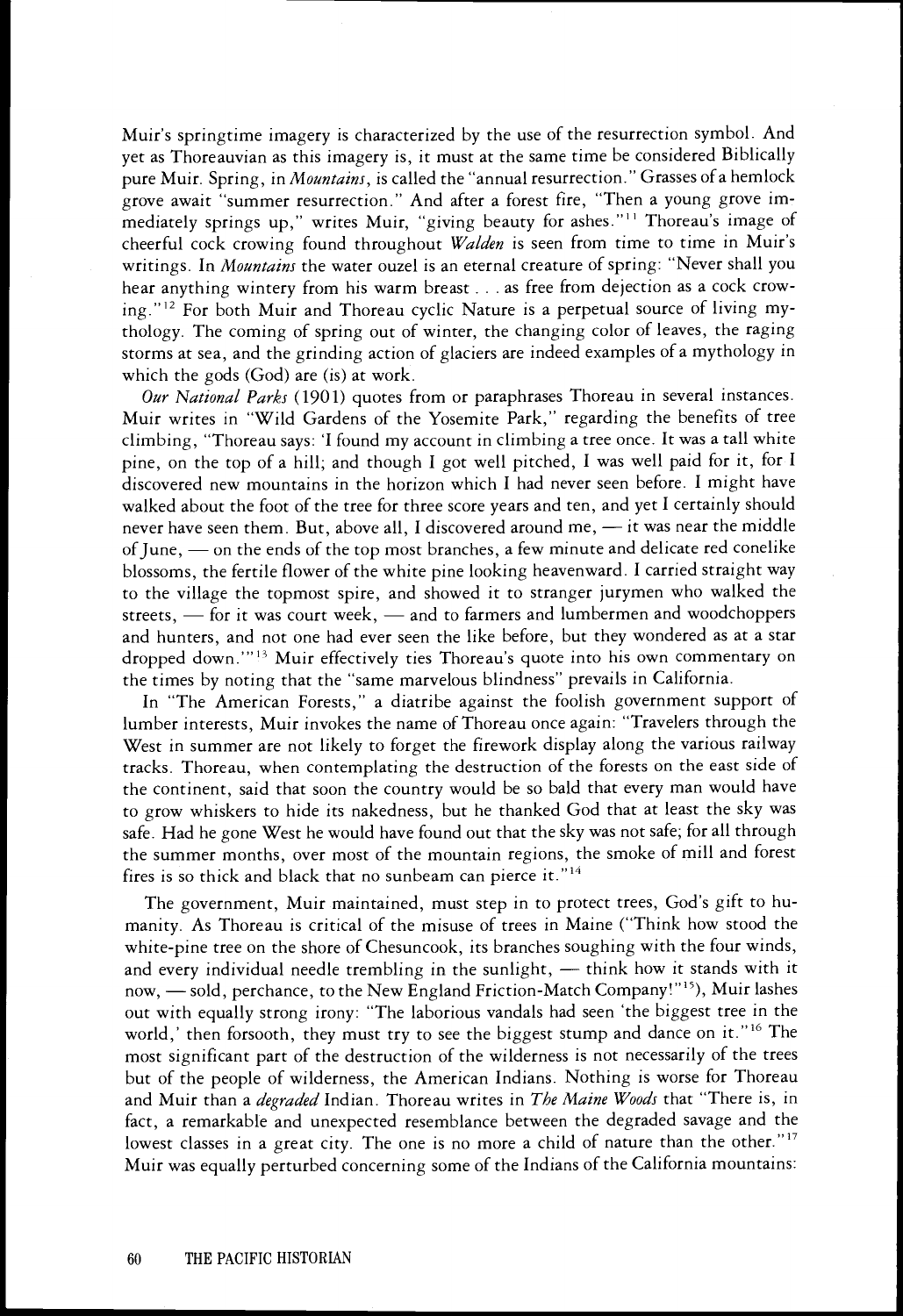Muir's springtime imagery is characterized by the use of the resurrection symbol. And yet as Thoreauvian as this imagery is, it must at the same time be considered Biblically pure Muir. Spring, in Mountains, is called the "annual resurrection." Grasses of a hemlock grove await "summer resurrection." And after a forest fire, "Then a young grove immediately springs up," writes Muir, "giving beauty for ashes."11 Thoreau's image of cheerful cock crowing found throughout Walden is seen from time to time in Muir's writings. In *Mountains* the water ouzel is an eternal creature of spring: "Never shall you hear anything wintery from his warm breast . . . as free from dejection as a cock crowing."12 For both Muir and Thoreau cyclic Nature is a perpetual source of living mythology. The coming of spring out of winter, the changing color of leaves, the raging storms at sea, and the grinding action of glaciers are indeed examples of a mythology in which the gods (God) are (is) at work.

Our National Parks (1901) quotes from or paraphrases Thoreau in several instances. Muir writes in "Wild Gardens of the Yosemite Park," regarding the benefits of tree climbing, "Thoreau says: 'I found my account in climbing a tree once. It was a tall white pine, on the top of a hill; and though I got well pitched, I was well paid for it, for I discovered new mountains in the horizon which I had never seen before. I might have walked about the foot of the tree for three score years and ten, and yet I certainly should never have seen them. But, above all, I discovered around me, - it was near the middle of June, - on the ends of the top most branches, a few minute and delicate red conelike blossoms, the fertile flower of the white pine looking heavenward. I carried straight way to the village the topmost spire, and showed it to stranger jurymen who walked the streets,  $\frac{1}{100}$  for it was court week,  $\frac{1}{100}$  and to farmers and lumbermen and woodchoppers and hunters, and not one had ever seen the like before, but they wondered as at a star dropped down.""<sup>3</sup> Muir effectively ties Thoreau's quote into his own commentary on the times by noting that the "same marvelous blindness" prevails in California.

In "The American Forests," a diatribe against the foolish government support of lumber interests, Muir invokes the name of Thoreau once again: "Travelers through the West in summer are not likely to forget the firework display along the various railway tracks. Thoreau, when contemplating the destruction of the forests on the east side of the continent, said that soon the country would be so bald that every man would have to grow whiskers to hide its nakedness, but he thanked God that at least the sky was safe. Had he gone West he would have found out that the sky was not safe; for all through the summer months, over most of the mountain regions, the smoke of mill and forest fires is so thick and black that no sunbeam can pierce it."<sup>14</sup>

The government, Muir maintained, must step in to protect trees, God's gift to humanity. As Thoreau is critical of the misuse of trees in Maine ("Think how stood the white-pine tree on the shore of Chesuncook, its branches soughing with the four winds, and every individual needle trembling in the sunlight, - think how it stands with it now, - sold, perchance, to the New England Friction-Match Company!"<sup>15</sup>), Muir lashes out with equally strong irony: "The laborious vandals had seen 'the biggest tree in the world,' then forsooth, they must try to see the biggest stump and dance on it."16 The most significant part of the destruction of the wilderness is not necessarily of the trees but of the people of wilderness, the American Indians. Nothing is worse for Thoreau and Muir than a *degraded* Indian. Thoreau writes in The Maine Woods that "There is, in fact, a remarkable and unexpected resemblance between the degraded savage and the lowest classes in a great city. The one is no more a child of nature than the other."<sup>17</sup> Muir was equally perturbed concerning some of the Indians of the California mountains: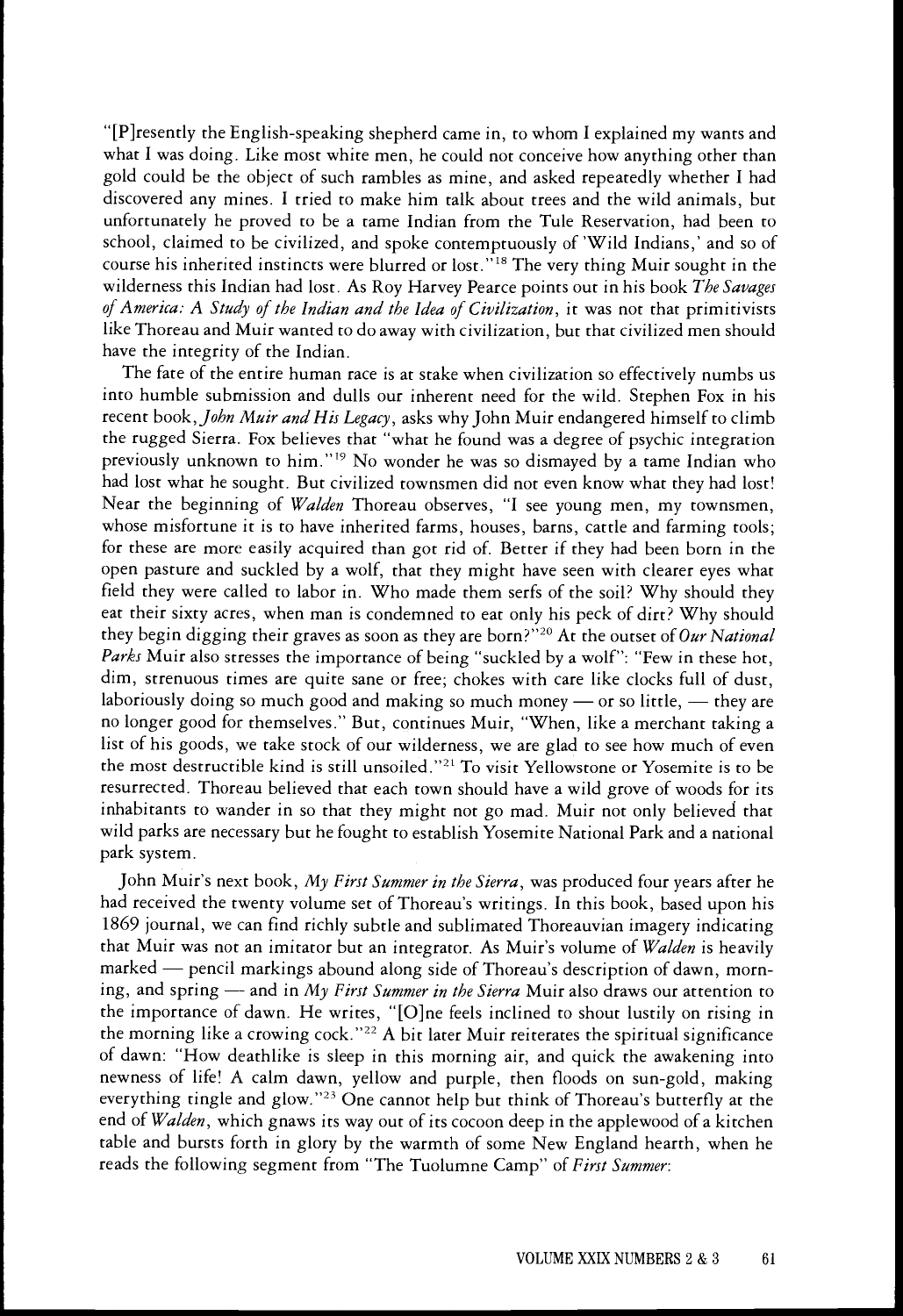[P]resently the English-speaking shepherd came in, to whom I explained my wants and what I was doing. Like most white men, he could not conceive how anything other than gold could be the object of such rambles as mine, and asked repeatedly whether I had discovered any mines. I tried to make him talk about trees and the wild animals, but unfortunately he proved to be a tame Indian from the Tule Reservation, had been to school, claimed to be civilized, and spoke contemptuously of 'Wild Indians,' and so of course his inherited instincts were blurred or lost."18 The very thing Muir sought in the wilderness this Indian had lost. As Roy Harvey Pearce points out in his book The Savages of America: A Study of the Indian and the Idea of Civilization, it was not that primitivists like Thoreau and Muir wanted to do away with civilization, but that civilized men should have the integrity of the Indian.

The fate of the entire human race is at stake when civilization so effectively numbs us into humble submission and dulls our inherent need for the wild. Stephen Fox in his recent book, John Muir and His Legacy, asks why John Muir endangered himself to climb the rugged Sierra. Fox believes that "what he found was a degree of psychic integration previously unknown to him."19 No wonder he was so dismayed by a tame Indian who had lost what he sought. But civilized townsmen did not even know what they had lost! Near the beginning of Walden Thoreau observes, "I see young men, my townsmen, whose misfortune it is to have inherited farms, houses, barns, cattle and farming tools; for these are more easily acquired than got rid of. Better if they had been born in the open pasture and suckled by a wolf, that they might have seen with clearer eyes what field they were called to labor in. Who made them serfs of the soil? Why should they eat their sixty acres, when man is condemned to eat only his peck of dirt? Why should they begin digging their graves as soon as they are born?"<sup>20</sup> At the outset of Our National Parks Muir also stresses the importance of being "suckled by a wolf": "Few in these hot, dim, strenuous times are quite sane or free; chokes with care like clocks full of dust, laboriously doing so much good and making so much money  $-$  or so little,  $-$  they are no longer good for themselves." But, continues Muir, "When, like a merchant taking a list of his goods, we take stock of our wilderness, we are glad to see how much of even the most destructible kind is still unsoiled."21 To visit Yellowstone or Yosemite is to be resurrected. Thoreau believed that each town should have a wild grove of woods for its inhabitants to wander in so that they might not go mad. Muir not only believed that wild parks are necessary but he fought to establish Yosemite National Park and a national park system.

John Muir's next book, My First Summer in the Sierra, was produced four years after he had received the twenty volume set of Thoreau's writings. In this book, based upon his 1869 journal, we can find richly subtle and sublimated Thoreauvian imagery indicating that Muir was not an imitator but an integrator. As Muir's volume of Walden is heavily marked — pencil markings abound along side of Thoreau's description of dawn, morning, and spring -- and in My First Summer in the Sierra Muir also draws our attention to the importance of dawn. He writes, "[O]ne feels inclined to shout lustily on rising in the morning like a crowing cock." $^{22}$  A bit later Muir reiterates the spiritual significance of dawn: "How deathlike is sleep in this morning air, and quick the awakening into newness of life! A calm dawn, yellow and purple, then floods on sun-gold, making everything tingle and glow."23 One cannot help but think of Thoreau's butterfly at the end of Walden, which gnaws its way out of its cocoon deep in the applewood of a kitchen table and bursts forth in glory by the warmth of some New England hearth, when he reads the following segment from "The Tuolumne Camp" of First Summer: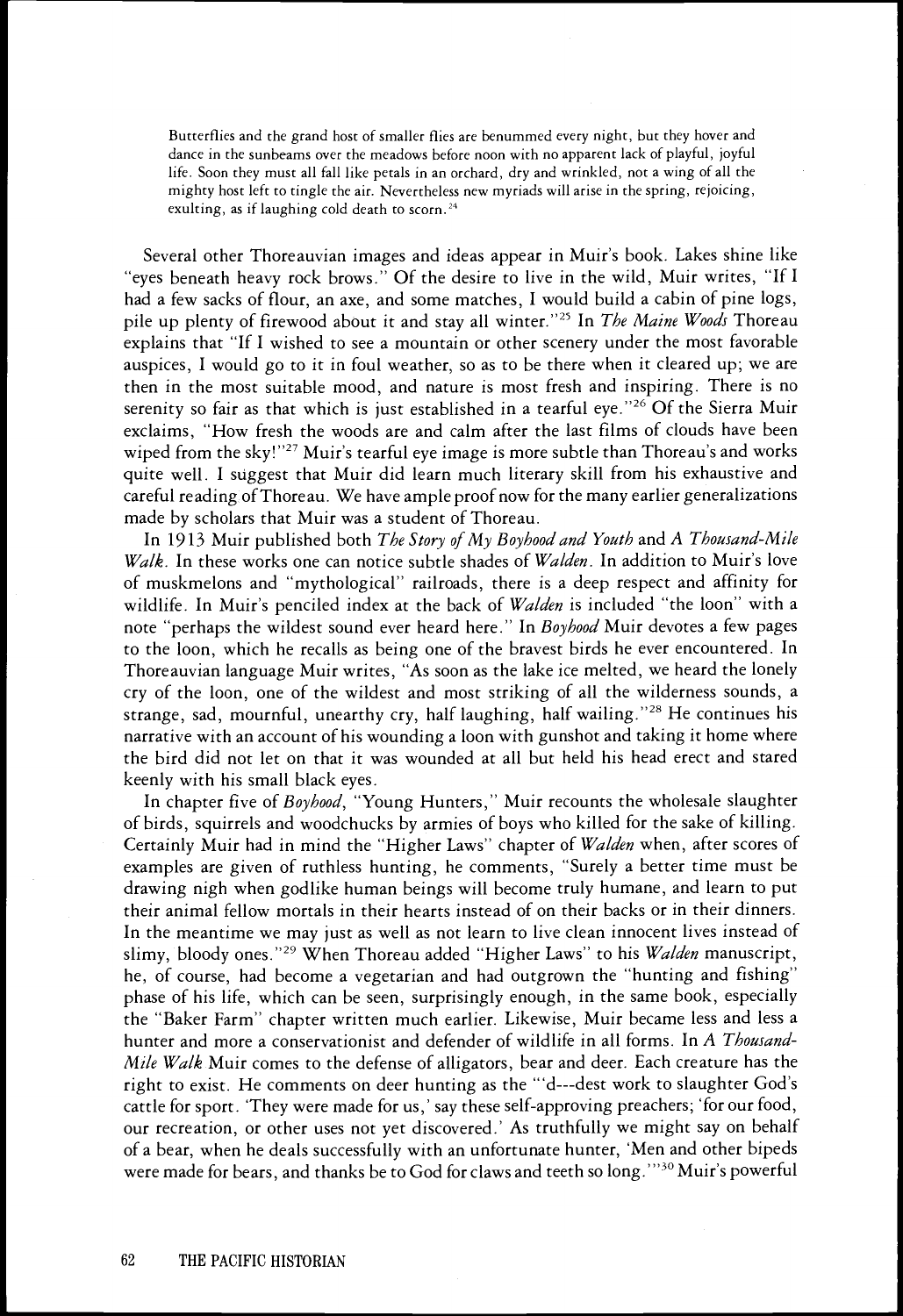Butterflies and the grand host of smaller flies are benummed every night, but they hover and dance in the sunbeams over the meadows before noon with no apparent lack of playful, joyful life. Soon they must all fall like petals in an orchard, dry and wrinkled, not a wing of all the mighty host left to tingle the air. Nevertheless new myriads will arise in the spring, rejoicing, exulting, as if laughing cold death to scorn.<sup>24</sup>

Several other Thoreauvian images and ideas appear in Muir's book. Lakes shine like "eyes beneath heavy rock brows." Of the desire to live in the wild, Muir writes, "If I had a few sacks of flour, an axe, and some matches, I would build a cabin of pine logs, pile up plenty of firewood about it and stay all winter."<sup>25</sup> In *The Maine Woods* Thoreau explains that 'If I wished to see a mountain or other scenery under the most favorable auspices, I would go to it in foul weather, so as to be there when it cleared up; we are then in the most suitable mood, and nature is most fresh and inspiring. There is no serenity so fair as that which is just established in a tearful eye."<sup>26</sup> Of the Sierra Muir exclaims, "How fresh the woods are and calm after the last films of clouds have been wiped from the sky!"<sup>27</sup> Muir's tearful eye image is more subtle than Thoreau's and works quite well. I suggest that Muir did learn much literary skill from his exhaustive and careful reading of Thoreau. We have ample proof now for the many earlier generalizations made by scholars that Muir was a student of Thoreau.

In 1913 Muir published both The Story of My Boyhood and Youth and A Thousand-Mile Walk. In these works one can notice subtle shades of Walden. In addition to Muir's love of muskmelons and "mythological" railroads, there is a deep respect and affinity for wildlife. In Muir's penciled index at the back of Walden is included "the loon" with a note "perhaps the wildest sound ever heard here." In Boyhood Muir devotes a few pages to the loon, which he recalls as being one of the bravest birds he ever encountered. In Thoreauvian language Muir writes, "As soon as the lake ice melted, we heard the lonely cry of the loon, one of the wildest and most striking of all the wilderness sounds, a strange, sad, mournful, unearthy cry, half laughing, half wailing."<sup>28</sup> He continues his narrative with an account of his wounding a loon with gunshot and taking it home where the bird did not let on that it was wounded at all but held his head erect and stared keenly with his small black eyes.

In chapter five of Boyhood, "Young Hunters," Muir recounts the wholesale slaughter of birds, squirrels and woodchucks by armies of boys who killed for the sake of killing. Certainly Muir had in mind the "Higher Laws" chapter of Walden when, after scores of examples are given of ruthless hunting, he comments, "Surely a better time must be drawing nigh when godlike human beings will become truly humane, and learn to put their animal fellow mortals in their hearts instead of on their backs or in their dinners. In the meantime we may just as well as not learn to live clean innocent lives instead of slimy, bloody ones."<sup>29</sup> When Thoreau added "Higher Laws" to his Walden manuscript, he, of course, had become a vegetarian and had outgrown the "hunting and fishing" phase of his life, which can be seen, surprisingly enough, in the same book, especially the "Baker Farm" chapter written much earlier. Likewise, Muir became less and less a hunter and more a conservationist and defender of wildlife in all forms. In A Thousand-Mile Walk Muir comes to the defense of alligators, bear and deer. Each creature has the right to exist. He comments on deer hunting as the "d---dest work to slaughter God's cattle for sport. 'They were made for us,' say these self-approving preachers; 'for our food, our recreation, or other uses not yet discovered.' As truthfully we might say on behalf of a bear, when he deals successfully with an unfortunate hunter, 'Men and other bipeds were made for bears, and thanks be to God for claws and teeth so long."<sup>30</sup> Muir's powerful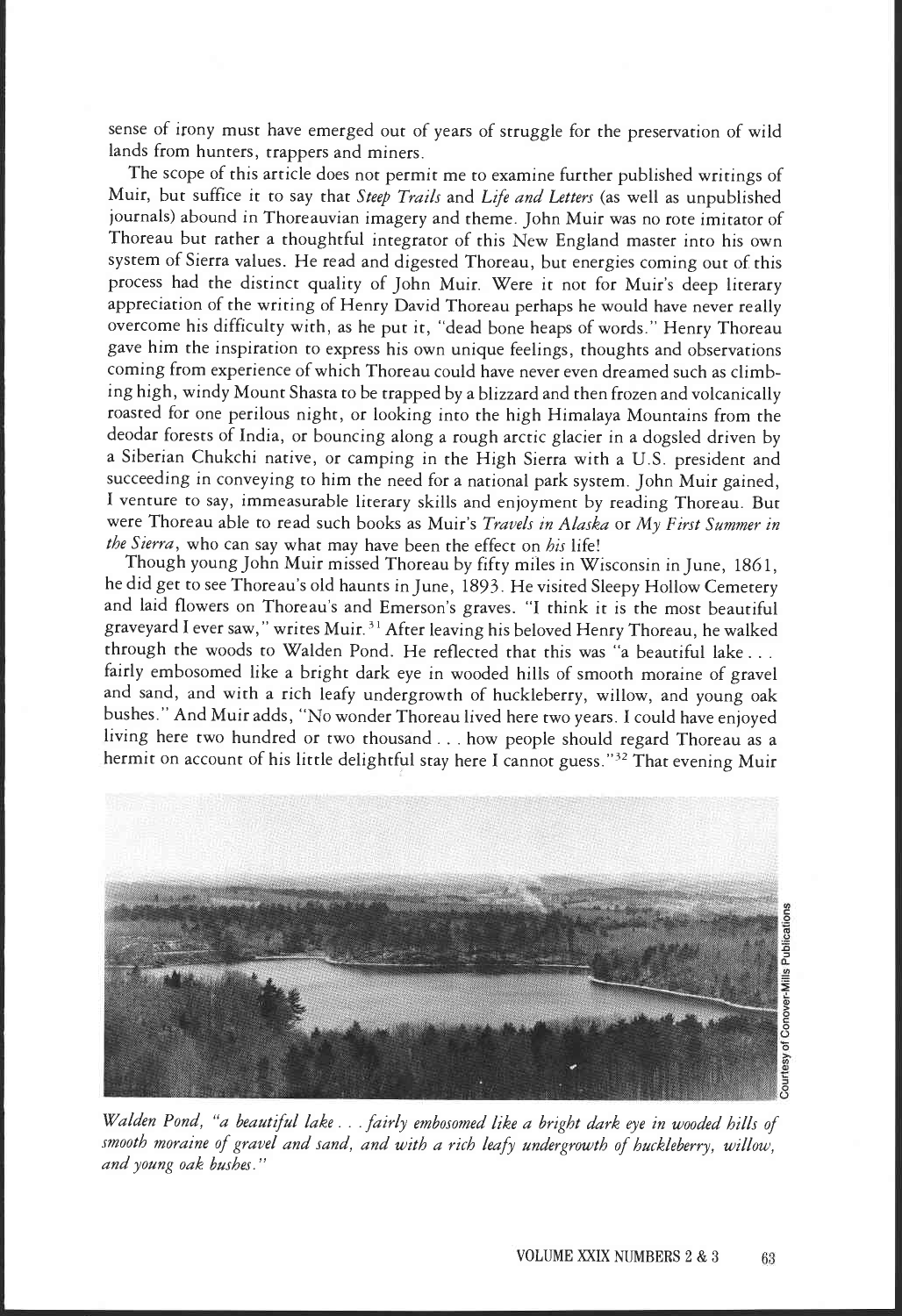sense of irony must have emerged out of years of struggle for the preservation of wild lands from hunters, trappers and miners.

The scope of this article does not permit me to examine further published writings of Muir, but suffice it to say that Steep Trails and Life and Letters (as well as unpublished journals) abound in Thoreauvian imagery and theme. John Muir was no rote imitator of Thoreau but rather a thoughtful integrator of this New England master into his own system of Sierra values. He read and digested Thoreau, but energies coming out of this process had the distinct quality of John Muir. Were it not for Muir's deep literary appreciation of the writing of Henry David Thoreau perhaps he would have never really overcome his difficulty with, as he put it, "dead bone heaps of words." Henry Thoreau gave him the inspiration to express his own unique feelings, thoughts and observations coming from experience of which Thoreau could have never even dreamed such as climbing high, windy Mount Shasta to be trapped by a blizzard and then frozen and volcanically roasted for one perilous night, or looking into the high Himalaya Mountains from the deodar forests of India, or bouncing along a rough arctic glacier in a dogsled driven by a Siberian Chukchi native, or camping in the High Sierra with a U.S. president and succeeding in conveying to him the need for a national park system. John Muir gained, I venture to say, immeasurable literary skills and enjoyment by reading Thoreau. But were Thoreau able to read such books as Muir's Travels in Alaska or My First Summer in the Sierra, who can say what may have been the effect on his life!

Though young John Muir missed Thoreau by fifty miles in Wisconsin in June, 1861, he did get to see Thoreau's old haunts in June, 1893. He visited Sleepy Hollow Cemetery and laid flowers on Thoreau's and Emerson's graves. "I think it is the most beautiful graveyard I ever saw," writes Muir. 31 After leaving his beloved Henry Thoreau, he walked through the woods to Walden Pond. He reflected that this was "a beautiful lake. fairly embosomed like a bright dark eye in wooded hills of smooth moraine of gravel and sand, and with a rich leafy undergrowth of huckleberry, willow, and young oak bushes." And Muir adds, "No wonder Thoreau lived here two years. I could have enjoyed living here two hundred or two thousand. . . how people should regard Thoreau as a hermit on account of his little delightful stay here I cannot guess."<sup>32</sup> That evening Muir



Walden Pond, "a beautiful lake... fairly embosomed like a bright dark eye in wooded hills of smooth moraine of gravel and sand, and with a rich leafy undergrowth of huckleberry, willow, and young oak bushes."